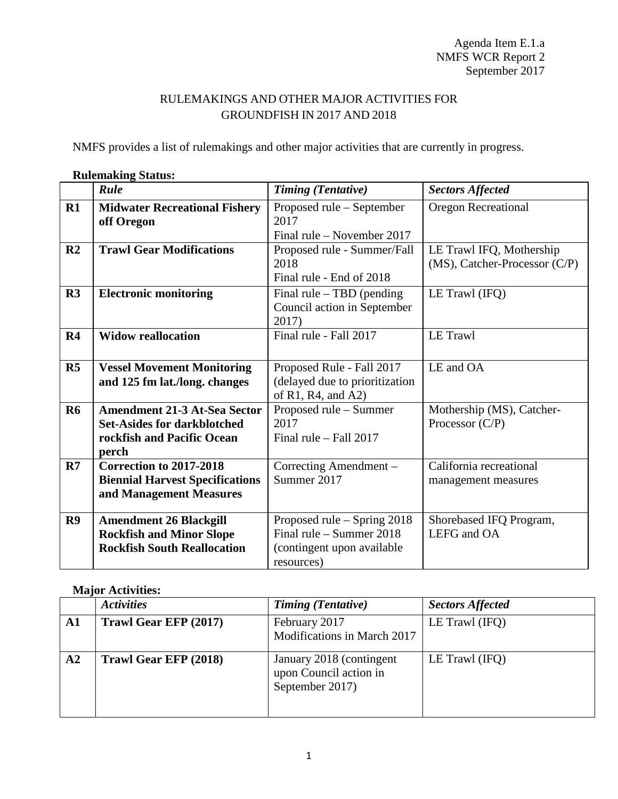## RULEMAKINGS AND OTHER MAJOR ACTIVITIES FOR GROUNDFISH IN 2017 AND 2018

NMFS provides a list of rulemakings and other major activities that are currently in progress.

|                | <b>ANANDIANALIA, DRUGUDI</b>                                                                                     |                                                                                                       |                                                           |
|----------------|------------------------------------------------------------------------------------------------------------------|-------------------------------------------------------------------------------------------------------|-----------------------------------------------------------|
|                | Rule                                                                                                             | <b>Timing (Tentative)</b>                                                                             | <b>Sectors Affected</b>                                   |
| R1             | <b>Midwater Recreational Fishery</b><br>off Oregon                                                               | Proposed rule – September<br>2017<br>Final rule – November 2017                                       | <b>Oregon Recreational</b>                                |
| R <sub>2</sub> | <b>Trawl Gear Modifications</b>                                                                                  | Proposed rule - Summer/Fall<br>2018<br>Final rule - End of 2018                                       | LE Trawl IFQ, Mothership<br>(MS), Catcher-Processor (C/P) |
| R3             | <b>Electronic monitoring</b>                                                                                     | Final rule $-$ TBD (pending<br>Council action in September<br>2017)                                   | LE Trawl (IFQ)                                            |
| R <sub>4</sub> | <b>Widow reallocation</b>                                                                                        | Final rule - Fall 2017                                                                                | LE Trawl                                                  |
| R5             | <b>Vessel Movement Monitoring</b><br>and 125 fm lat./long. changes                                               | Proposed Rule - Fall 2017<br>(delayed due to prioritization<br>of R1, R4, and A2)                     | LE and OA                                                 |
| <b>R6</b>      | <b>Amendment 21-3 At-Sea Sector</b><br><b>Set-Asides for darkblotched</b><br>rockfish and Pacific Ocean<br>perch | Proposed rule – Summer<br>2017<br>Final rule $-$ Fall 2017                                            | Mothership (MS), Catcher-<br>Processor $(C/P)$            |
| R7             | Correction to 2017-2018<br><b>Biennial Harvest Specifications</b><br>and Management Measures                     | Correcting Amendment -<br>Summer 2017                                                                 | California recreational<br>management measures            |
| R9             | <b>Amendment 26 Blackgill</b><br><b>Rockfish and Minor Slope</b><br><b>Rockfish South Reallocation</b>           | Proposed rule – Spring 2018<br>Final rule $-$ Summer 2018<br>(contingent upon available<br>resources) | Shorebased IFQ Program,<br>LEFG and OA                    |

## **Rulemaking Status:**

## **Major Activities:**

|            | <b>Activities</b>     | <b>Timing (Tentative)</b>                                              | <b>Sectors Affected</b> |
|------------|-----------------------|------------------------------------------------------------------------|-------------------------|
| ${\bf A1}$ | Trawl Gear EFP (2017) | February 2017<br>Modifications in March 2017                           | LE Trawl (IFQ)          |
| A2         | Trawl Gear EFP (2018) | January 2018 (contingent)<br>upon Council action in<br>September 2017) | LE Trawl $(IFQ)$        |